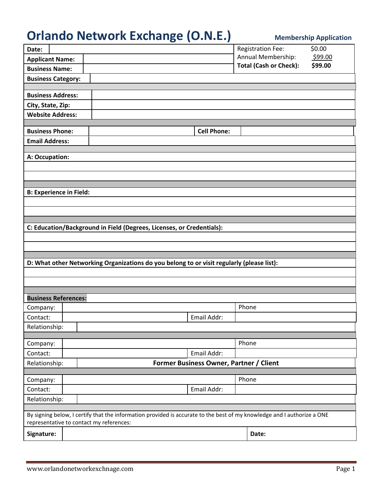## **Orlando Network Exchange (O.N.E.) Membership Application**

| Date:                                                                                                                                                               |  |                                                                                           |  | <b>Registration Fee:</b>      | \$0.00  |  |  |
|---------------------------------------------------------------------------------------------------------------------------------------------------------------------|--|-------------------------------------------------------------------------------------------|--|-------------------------------|---------|--|--|
| <b>Applicant Name:</b>                                                                                                                                              |  |                                                                                           |  | Annual Membership:            | \$99.00 |  |  |
| <b>Business Name:</b>                                                                                                                                               |  |                                                                                           |  | <b>Total (Cash or Check):</b> | \$99.00 |  |  |
| <b>Business Category:</b>                                                                                                                                           |  |                                                                                           |  |                               |         |  |  |
|                                                                                                                                                                     |  |                                                                                           |  |                               |         |  |  |
| <b>Business Address:</b>                                                                                                                                            |  |                                                                                           |  |                               |         |  |  |
| City, State, Zip:                                                                                                                                                   |  |                                                                                           |  |                               |         |  |  |
| <b>Website Address:</b>                                                                                                                                             |  |                                                                                           |  |                               |         |  |  |
| <b>Business Phone:</b>                                                                                                                                              |  | <b>Cell Phone:</b>                                                                        |  |                               |         |  |  |
| <b>Email Address:</b>                                                                                                                                               |  |                                                                                           |  |                               |         |  |  |
|                                                                                                                                                                     |  |                                                                                           |  |                               |         |  |  |
| A: Occupation:                                                                                                                                                      |  |                                                                                           |  |                               |         |  |  |
|                                                                                                                                                                     |  |                                                                                           |  |                               |         |  |  |
|                                                                                                                                                                     |  |                                                                                           |  |                               |         |  |  |
| <b>B: Experience in Field:</b>                                                                                                                                      |  |                                                                                           |  |                               |         |  |  |
|                                                                                                                                                                     |  |                                                                                           |  |                               |         |  |  |
|                                                                                                                                                                     |  |                                                                                           |  |                               |         |  |  |
|                                                                                                                                                                     |  |                                                                                           |  |                               |         |  |  |
|                                                                                                                                                                     |  | C: Education/Background in Field (Degrees, Licenses, or Credentials):                     |  |                               |         |  |  |
|                                                                                                                                                                     |  |                                                                                           |  |                               |         |  |  |
|                                                                                                                                                                     |  |                                                                                           |  |                               |         |  |  |
|                                                                                                                                                                     |  |                                                                                           |  |                               |         |  |  |
|                                                                                                                                                                     |  | D: What other Networking Organizations do you belong to or visit regularly (please list): |  |                               |         |  |  |
|                                                                                                                                                                     |  |                                                                                           |  |                               |         |  |  |
|                                                                                                                                                                     |  |                                                                                           |  |                               |         |  |  |
| <b>Business References:</b>                                                                                                                                         |  |                                                                                           |  |                               |         |  |  |
| Company:                                                                                                                                                            |  |                                                                                           |  | Phone                         |         |  |  |
| Contact:                                                                                                                                                            |  | Email Addr:                                                                               |  |                               |         |  |  |
| Relationship:                                                                                                                                                       |  |                                                                                           |  |                               |         |  |  |
|                                                                                                                                                                     |  |                                                                                           |  |                               |         |  |  |
| Company:                                                                                                                                                            |  |                                                                                           |  | Phone                         |         |  |  |
| Contact:                                                                                                                                                            |  | Email Addr:                                                                               |  |                               |         |  |  |
| Relationship:<br>Former Business Owner, Partner / Client                                                                                                            |  |                                                                                           |  |                               |         |  |  |
| Company:                                                                                                                                                            |  |                                                                                           |  | Phone                         |         |  |  |
| Contact:                                                                                                                                                            |  | Email Addr:                                                                               |  |                               |         |  |  |
| Relationship:                                                                                                                                                       |  |                                                                                           |  |                               |         |  |  |
|                                                                                                                                                                     |  |                                                                                           |  |                               |         |  |  |
| By signing below, I certify that the information provided is accurate to the best of my knowledge and I authorize a ONE<br>representative to contact my references: |  |                                                                                           |  |                               |         |  |  |
| Signature:                                                                                                                                                          |  |                                                                                           |  | Date:                         |         |  |  |